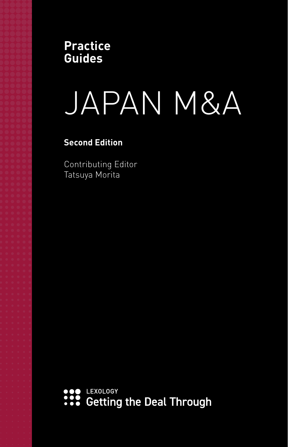**Practice Guides**

# JAPAN M&A

**Second Edition**

Contributing Editor Tatsuya Morita

C LEXOLOGY ... Getting the Deal Through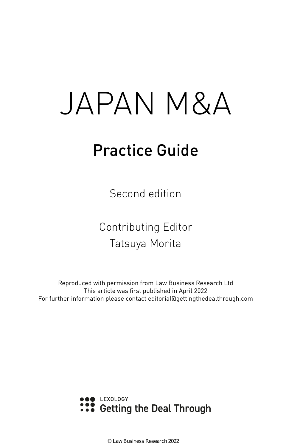# JAPAN M&A

## Practice Guide

Second edition

Contributing Editor Tatsuya Morita

Reproduced with permission from Law Business Research Ltd This article was first published in April 2022 For further information please contact editorial@gettingthedealthrough.com



© Law Business Research 2022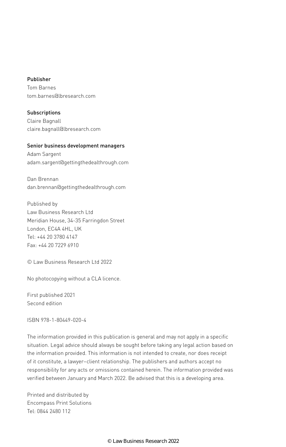#### Publisher

Tom Barnes tom.barnes@lbresearch.com

Subscriptions Claire Bagnall claire.bagnall@lbresearch.com

#### Senior business development managers

Adam Sargent adam.sargent@gettingthedealthrough.com

Dan Brennan dan.brennan@gettingthedealthrough.com

Published by Law Business Research Ltd Meridian House, 34-35 Farringdon Street London, EC4A 4HL, UK Tel: +44 20 3780 4147 Fax: +44 20 7229 6910

© Law Business Research Ltd 2022

No photocopying without a CLA licence.

First published 2021 Second edition

ISBN 978-1-80449-020-4

The information provided in this publication is general and may not apply in a specific situation. Legal advice should always be sought before taking any legal action based on the information provided. This information is not intended to create, nor does receipt of it constitute, a lawyer–client relationship. The publishers and authors accept no responsibility for any acts or omissions contained herein. The information provided was verified between January and March 2022. Be advised that this is a developing area.

Printed and distributed by Encompass Print Solutions Tel: 0844 2480 112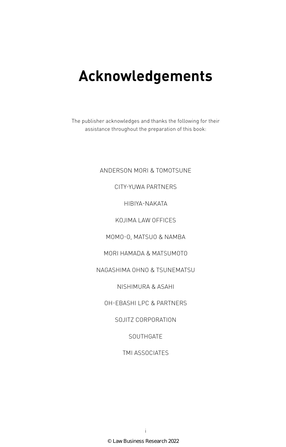### **Acknowledgements**

The publisher acknowledges and thanks the following for their assistance throughout the preparation of this book:

#### ANDERSON MORI & TOMOTSUNE

#### CITY-YUWA PARTNERS

HIBIYA-NAKATA

KOJIMA LAW OFFICES

MOMO-O, MATSUO & NAMBA

MORI HAMADA & MATSUMOTO

NAGASHIMA OHNO & TSUNEMATSU

NISHIMURA & ASAHI

OH-EBASHI LPC & PARTNERS

SOJITZ CORPORATION

**SOUTHGATE** 

TMI ASSOCIATES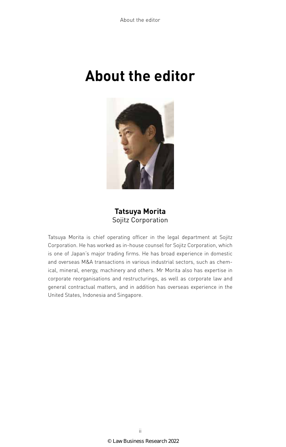### **About the editor**



#### **Tatsuya Morita** Sojitz Corporation

Tatsuya Morita is chief operating officer in the legal department at Sojitz Corporation. He has worked as in-house counsel for Sojitz Corporation, which is one of Japan's major trading firms. He has broad experience in domestic and overseas M&A transactions in various industrial sectors, such as chemical, mineral, energy, machinery and others. Mr Morita also has expertise in corporate reorganisations and restructurings, as well as corporate law and general contractual matters, and in addition has overseas experience in the United States, Indonesia and Singapore.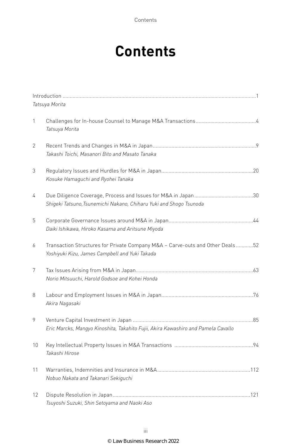Contents

### **Contents**

|              | Tatsuya Morita                                                                                                                  |
|--------------|---------------------------------------------------------------------------------------------------------------------------------|
| 1            | Tatsuya Morita                                                                                                                  |
| $\mathbf{2}$ | Takashi Toichi, Masanori Bito and Masato Tanaka                                                                                 |
| 3            | Kosuke Hamaguchi and Ryohei Tanaka                                                                                              |
| 4            | Shigeki Tatsuno, Tsunemichi Nakano, Chiharu Yuki and Shogo Tsunoda                                                              |
| 5            | Daiki Ishikawa, Hiroko Kasama and Aritsune Miyoda                                                                               |
| 6            | Transaction Structures for Private Company M&A - Carve-outs and Other Deals52<br>Yoshiyuki Kizu, James Campbell and Yuki Takada |
| 7            | Norio Mitsuuchi, Harold Godsoe and Kohei Honda                                                                                  |
| 8            | Akira Nagasaki                                                                                                                  |
| 9            | Eric Marcks, Mangyo Kinoshita, Takahito Fujii, Akira Kawashiro and Pamela Cavallo                                               |
| 10           | Takashi Hirose                                                                                                                  |
| 11           | Nobuo Nakata and Takanari Sekiguchi                                                                                             |
| 12           | Tsuyoshi Suzuki, Shin Setoyama and Naoki Aso                                                                                    |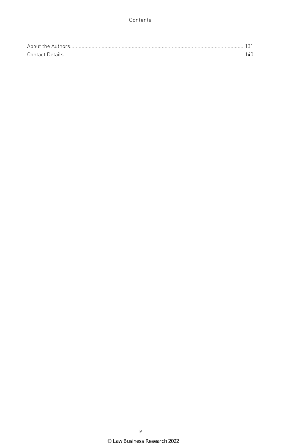#### Contents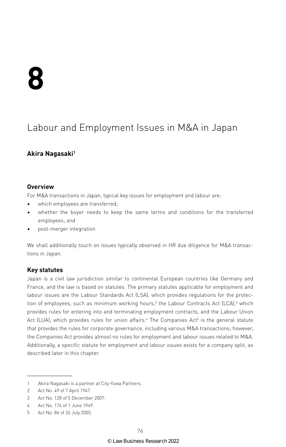### Labour and Employment Issues in M&A in Japan

#### **Akira Nagasaki1**

#### **Overview**

For M&A transactions in Japan, typical key issues for employment and labour are:

- which employees are transferred;
- whether the buyer needs to keep the same terms and conditions for the transferred employees; and
- post-merger integration.

We shall additionally touch on issues typically observed in HR due diligence for M&A transactions in Japan.

#### **Key statutes**

Japan is a civil law jurisdiction similar to continental European countries like Germany and France, and the law is based on statutes. The primary statutes applicable for employment and labour issues are the Labour Standards Act (LSA), which provides regulations for the protection of employees, such as minimum working hours,<sup>2</sup> the Labour Contracts Act (LCA),3 which provides rules for entering into and terminating employment contracts, and the Labour Union Act (LUA), which provides rules for union affairs.<sup>4</sup> The Companies Act<sup>5</sup> is the general statute that provides the rules for corporate governance, including various M&A transactions; however, the Companies Act provides almost no rules for employment and labour issues related to M&A. Additionally, a specific statute for employment and labour issues exists for a company split, as described later in this chapter.

<sup>1</sup> Akira Nagasaki is a partner at City-Yuwa Partners.

<sup>2</sup> Act No. 49 of 7 April 1947.

<sup>3</sup> Act No. 128 of 5 December 2007.

<sup>4</sup> Act No. 174 of 1 June 1949.

<sup>5</sup> Act No. 86 of 26 July 2005.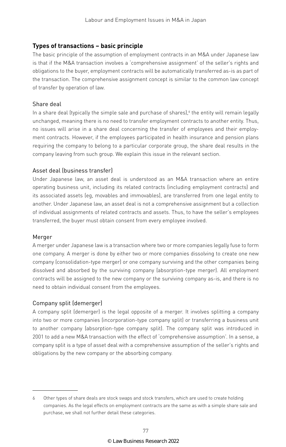#### **Types of transactions – basic principle**

The basic principle of the assumption of employment contracts in an M&A under Japanese law is that if the M&A transaction involves a 'comprehensive assignment' of the seller's rights and obligations to the buyer, employment contracts will be automatically transferred as-is as part of the transaction. The comprehensive assignment concept is similar to the common law concept of transfer by operation of law.

#### Share deal

In a share deal (typically the simple sale and purchase of shares),' the entity will remain legally unchanged, meaning there is no need to transfer employment contracts to another entity. Thus, no issues will arise in a share deal concerning the transfer of employees and their employment contracts. However, if the employees participated in health insurance and pension plans requiring the company to belong to a particular corporate group, the share deal results in the company leaving from such group. We explain this issue in the relevant section.

#### Asset deal (business transfer)

Under Japanese law, an asset deal is understood as an M&A transaction where an entire operating business unit, including its related contracts (including employment contracts) and its associated assets (eg, movables and immovables), are transferred from one legal entity to another. Under Japanese law, an asset deal is not a comprehensive assignment but a collection of individual assignments of related contracts and assets. Thus, to have the seller's employees transferred, the buyer must obtain consent from every employee involved.

#### Merger

A merger under Japanese law is a transaction where two or more companies legally fuse to form one company. A merger is done by either two or more companies dissolving to create one new company (consolidation-type merger) or one company surviving and the other companies being dissolved and absorbed by the surviving company (absorption-type merger). All employment contracts will be assigned to the new company or the surviving company as-is, and there is no need to obtain individual consent from the employees.

#### Company split (demerger)

A company split (demerger) is the legal opposite of a merger. It involves splitting a company into two or more companies (incorporation-type company split) or transferring a business unit to another company (absorption-type company split). The company split was introduced in 2001 to add a new M&A transaction with the effect of 'comprehensive assumption'. In a sense, a company split is a type of asset deal with a comprehensive assumption of the seller's rights and obligations by the new company or the absorbing company.

<sup>6</sup> Other types of share deals are stock swaps and stock transfers, which are used to create holding companies. As the legal effects on employment contracts are the same as with a simple share sale and purchase, we shall not further detail these categories.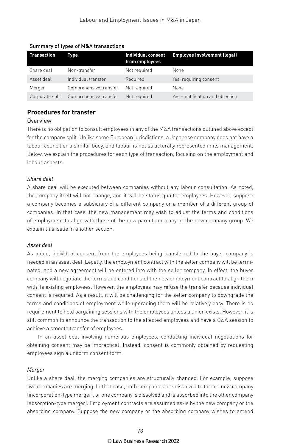| <b>Transaction</b> | Type                   | <b>Individual consent</b><br>from employees | Employee involvement (legal)     |
|--------------------|------------------------|---------------------------------------------|----------------------------------|
| Share deal         | Non-transfer           | Not required                                | None                             |
| Asset deal         | Individual transfer    | Required                                    | Yes, requiring consent           |
| Merger             | Comprehensive transfer | Not required                                | None                             |
| Corporate split    | Comprehensive transfer | Not required                                | Yes - notification and objection |

#### Summary of types of M&A transactions

#### **Procedures for transfer**

#### **Overview**

There is no obligation to consult employees in any of the M&A transactions outlined above except for the company split. Unlike some European jurisdictions, a Japanese company does not have a labour council or a similar body, and labour is not structurally represented in its management. Below, we explain the procedures for each type of transaction, focusing on the employment and labour aspects.

#### *Share deal*

A share deal will be executed between companies without any labour consultation. As noted, the company itself will not change, and it will be status quo for employees. However, suppose a company becomes a subsidiary of a different company or a member of a different group of companies. In that case, the new management may wish to adjust the terms and conditions of employment to align with those of the new parent company or the new company group. We explain this issue in another section.

#### *Asset deal*

As noted, individual consent from the employees being transferred to the buyer company is needed in an asset deal. Legally, the employment contract with the seller company will be terminated, and a new agreement will be entered into with the seller company. In effect, the buyer company will negotiate the terms and conditions of the new employment contract to align them with its existing employees. However, the employees may refuse the transfer because individual consent is required. As a result, it will be challenging for the seller company to downgrade the terms and conditions of employment while upgrading them will be relatively easy. There is no requirement to hold bargaining sessions with the employees unless a union exists. However, it is still common to announce the transaction to the affected employees and have a Q&A session to achieve a smooth transfer of employees.

In an asset deal involving numerous employees, conducting individual negotiations for obtaining consent may be impractical. Instead, consent is commonly obtained by requesting employees sign a uniform consent form.

#### *Merger*

Unlike a share deal, the merging companies are structurally changed. For example, suppose two companies are merging. In that case, both companies are dissolved to form a new company (incorporation-type merger), or one company is dissolved and is absorbed into the other company (absorption-type merger). Employment contracts are assumed as-is by the new company or the absorbing company. Suppose the new company or the absorbing company wishes to amend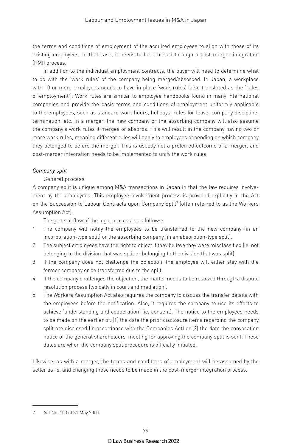the terms and conditions of employment of the acquired employees to align with those of its existing employees. In that case, it needs to be achieved through a post-merger integration (PMI) process.

In addition to the individual employment contracts, the buyer will need to determine what to do with the 'work rules' of the company being merged/absorbed. In Japan, a workplace with 10 or more employees needs to have in place 'work rules' (also translated as the 'rules of employment'). Work rules are similar to employee handbooks found in many international companies and provide the basic terms and conditions of employment uniformly applicable to the employees, such as standard work hours, holidays, rules for leave, company discipline, termination, etc. In a merger, the new company or the absorbing company will also assume the company's work rules it merges or absorbs. This will result in the company having two or more work rules, meaning different rules will apply to employees depending on which company they belonged to before the merger. This is usually not a preferred outcome of a merger, and post-merger integration needs to be implemented to unify the work rules.

#### *Company split*

#### General process

A company split is unique among M&A transactions in Japan in that the law requires involvement by the employees. This employee-involvement process is provided explicitly in the Act on the Succession to Labour Contracts upon Company Split<sup>7</sup> (often referred to as the Workers Assumption Act).

The general flow of the legal process is as follows:

- 1 The company will notify the employees to be transferred to the new company (in an incorporation-type split) or the absorbing company (in an absorption-type split).
- 2 The subject employees have the right to object if they believe they were misclassified (ie, not belonging to the division that was split or belonging to the division that was split).
- 3 If the company does not challenge the objection, the employee will either stay with the former company or be transferred due to the split.
- 4 If the company challenges the objection, the matter needs to be resolved through a dispute resolution process (typically in court and mediation).
- 5 The Workers Assumption Act also requires the company to discuss the transfer details with the employees before the notification. Also, it requires the company to use its efforts to achieve 'understanding and cooperation' (ie, consent). The notice to the employees needs to be made on the earlier of: (1) the date the prior disclosure items regarding the company split are disclosed (in accordance with the Companies Act) or (2) the date the convocation notice of the general shareholders' meeting for approving the company split is sent. These dates are when the company split procedure is officially initiated.

Likewise, as with a merger, the terms and conditions of employment will be assumed by the seller as-is, and changing these needs to be made in the post-merger integration process.

<sup>7</sup> Act No. 103 of 31 May 2000.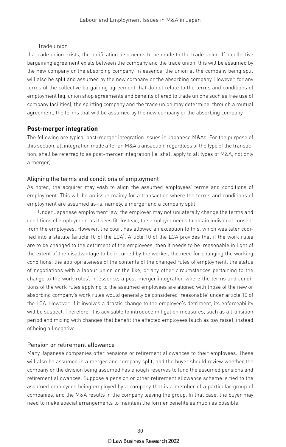#### Trade union

If a trade union exists, the notification also needs to be made to the trade union. If a collective bargaining agreement exists between the company and the trade union, this will be assumed by the new company or the absorbing company. In essence, the union at the company being split will also be split and assumed by the new company or the absorbing company. However, for any terms of the collective bargaining agreement that do not relate to the terms and conditions of employment (eg, union shop agreements and benefits offered to trade unions such as free use of company facilities), the splitting company and the trade union may determine, through a mutual agreement, the terms that will be assumed by the new company or the absorbing company.

#### **Post-merger integration**

The following are typical post-merger integration issues in Japanese M&As. For the purpose of this section, all integration made after an M&A transaction, regardless of the type of the transaction, shall be referred to as post-merger integration (ie, shall apply to all types of M&A, not only a merger).

#### Aligning the terms and conditions of employment

As noted, the acquirer may wish to align the assumed employees' terms and conditions of employment. This will be an issue mainly for a transaction where the terms and conditions of employment are assumed as-is, namely, a merger and a company split.

Under Japanese employment law, the employer may not unilaterally change the terms and conditions of employment as it sees fit. Instead, the employer needs to obtain individual consent from the employees. However, the court has allowed an exception to this, which was later codified into a statute (article 10 of the LCA). Article 10 of the LCA provides that if the work rules are to be changed to the detriment of the employees, then it needs to be 'reasonable in light of the extent of the disadvantage to be incurred by the worker, the need for changing the working conditions, the appropriateness of the contents of the changed rules of employment, the status of negotiations with a labour union or the like, or any other circumstances pertaining to the change to the work rules'. In essence, a post-merger integration where the terms and conditions of the work rules applying to the assumed employees are aligned with those of the new or absorbing company's work rules would generally be considered 'reasonable' under article 10 of the LCA. However, if it involves a drastic change to the employee's detriment, its enforceability will be suspect. Therefore, it is advisable to introduce mitigation measures, such as a transition period and mixing with changes that benefit the affected employees (such as pay raise), instead of being all negative.

#### Pension or retirement allowance

Many Japanese companies offer pensions or retirement allowances to their employees. These will also be assumed in a merger and company split, and the buyer should review whether the company or the division being assumed has enough reserves to fund the assumed pensions and retirement allowances. Suppose a pension or other retirement allowance scheme is tied to the assumed employees being employed by a company that is a member of a particular group of companies, and the M&A results in the company leaving the group. In that case, the buyer may need to make special arrangements to maintain the former benefits as much as possible.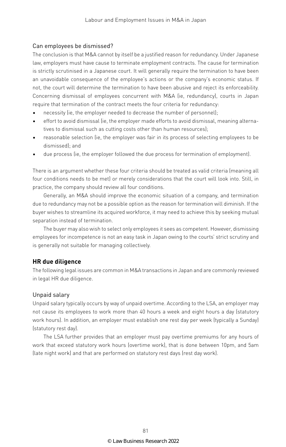#### Can employees be dismissed?

The conclusion is that M&A cannot by itself be a justified reason for redundancy. Under Japanese law, employers must have cause to terminate employment contracts. The cause for termination is strictly scrutinised in a Japanese court. It will generally require the termination to have been an unavoidable consequence of the employee's actions or the company's economic status. If not, the court will determine the termination to have been abusive and reject its enforceability. Concerning dismissal of employees concurrent with M&A (ie, redundancy), courts in Japan require that termination of the contract meets the four criteria for redundancy:

- necessity (ie, the employer needed to decrease the number of personnel);
- effort to avoid dismissal (ie, the employer made efforts to avoid dismissal, meaning alternatives to dismissal such as cutting costs other than human resources);
- reasonable selection (ie, the employer was fair in its process of selecting employees to be dismissed); and
- due process (ie, the employer followed the due process for termination of employment).

There is an argument whether these four criteria should be treated as valid criteria (meaning all four conditions needs to be met) or merely considerations that the court will look into. Still, in practice, the company should review all four conditions.

Generally, an M&A should improve the economic situation of a company, and termination due to redundancy may not be a possible option as the reason for termination will diminish. If the buyer wishes to streamline its acquired workforce, it may need to achieve this by seeking mutual separation instead of termination.

The buyer may also wish to select only employees it sees as competent. However, dismissing employees for incompetence is not an easy task in Japan owing to the courts' strict scrutiny and is generally not suitable for managing collectively.

#### **HR due diligence**

The following legal issues are common in M&A transactions in Japan and are commonly reviewed in legal HR due diligence.

#### Unpaid salary

Unpaid salary typically occurs by way of unpaid overtime. According to the LSA, an employer may not cause its employees to work more than 40 hours a week and eight hours a day (statutory work hours). In addition, an employer must establish one rest day per week (typically a Sunday) (statutory rest day).

The LSA further provides that an employer must pay overtime premiums for any hours of work that exceed statutory work hours (overtime work), that is done between 10pm, and 5am (late night work) and that are performed on statutory rest days (rest day work).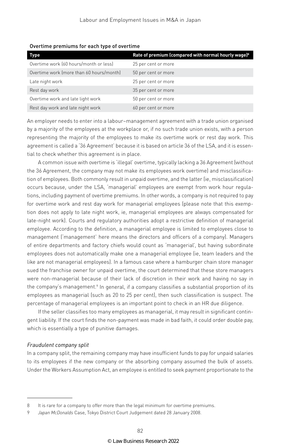| Type                                     | Rate of premium (compared with normal hourly wage) <sup>8</sup> |
|------------------------------------------|-----------------------------------------------------------------|
| Overtime work (60 hours/month or less)   | 25 per cent or more                                             |
| Overtime work (more than 60 hours/month) | 50 per cent or more                                             |
| Late night work                          | 25 per cent or more                                             |
| Rest day work                            | 35 per cent or more                                             |
| Overtime work and late light work        | 50 per cent or more                                             |
| Rest day work and late night work        | 60 per cent or more                                             |

Overtime premiums for each type of overtime

An employer needs to enter into a labour–management agreement with a trade union organised by a majority of the employees at the workplace or, if no such trade union exists, with a person representing the majority of the employees to make its overtime work or rest day work. This agreement is called a '36 Agreement' because it is based on article 36 of the LSA, and it is essential to check whether this agreement is in place.

A common issue with overtime is 'illegal' overtime, typically lacking a 36 Agreement (without the 36 Agreement, the company may not make its employees work overtime) and misclassification of employees. Both commonly result in unpaid overtime, and the latter (ie, misclassification) occurs because, under the LSA, 'managerial' employees are exempt from work hour regulations, including payment of overtime premiums. In other words, a company is not required to pay for overtime work and rest day work for managerial employees (please note that this exemption does not apply to late night work, ie, managerial employees are always compensated for late-night work). Courts and regulatory authorities adopt a restrictive definition of managerial employee. According to the definition, a managerial employee is limited to employees close to management ('management' here means the directors and officers of a company). Managers of entire departments and factory chiefs would count as 'managerial', but having subordinate employees does not automatically make one a managerial employee (ie, team leaders and the like are not managerial employees). In a famous case where a hamburger chain store manager sued the franchise owner for unpaid overtime, the court determined that these store managers were non-managerial because of their lack of discretion in their work and having no say in the company's management.<sup>9</sup> In general, if a company classifies a substantial proportion of its employees as managerial (such as 20 to 25 per cent), then such classification is suspect. The percentage of managerial employees is an important point to check in an HR due diligence.

If the seller classifies too many employees as managerial, it may result in significant contingent liability. If the court finds the non-payment was made in bad faith, it could order double pay, which is essentially a type of punitive damages.

#### *Fraudulent company split*

In a company split, the remaining company may have insufficient funds to pay for unpaid salaries to its employees if the new company or the absorbing company assumed the bulk of assets. Under the Workers Assumption Act, an employee is entitled to seek payment proportionate to the

<sup>8</sup> It is rare for a company to offer more than the legal minimum for overtime premiums.

<sup>9</sup> *Japan McDonalds* Case, Tokyo District Court Judgement dated 28 January 2008.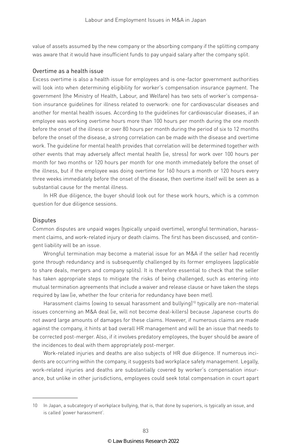value of assets assumed by the new company or the absorbing company if the splitting company was aware that it would have insufficient funds to pay unpaid salary after the company split.

#### Overtime as a health issue

Excess overtime is also a health issue for employees and is one-factor government authorities will look into when determining eligibility for worker's compensation insurance payment. The government (the Ministry of Health, Labour, and Welfare) has two sets of worker's compensation insurance guidelines for illness related to overwork: one for cardiovascular diseases and another for mental health issues. According to the guidelines for cardiovascular diseases, if an employee was working overtime hours more than 100 hours per month during the one month before the onset of the illness or over 80 hours per month during the period of six to 12 months before the onset of the disease, a strong correlation can be made with the disease and overtime work. The guideline for mental health provides that correlation will be determined together with other events that may adversely affect mental health (ie, stress) for work over 100 hours per month for two months or 120 hours per month for one month immediately before the onset of the illness, but if the employee was doing overtime for 160 hours a month or 120 hours every three weeks immediately before the onset of the disease, then overtime itself will be seen as a substantial cause for the mental illness.

In HR due diligence, the buyer should look out for these work hours, which is a common question for due diligence sessions.

#### **Disputes**

Common disputes are unpaid wages (typically unpaid overtime), wrongful termination, harassment claims, and work-related injury or death claims. The first has been discussed, and contingent liability will be an issue.

Wrongful termination may become a material issue for an M&A if the seller had recently gone through redundancy and is subsequently challenged by its former employees (applicable to share deals, mergers and company splits). It is therefore essential to check that the seller has taken appropriate steps to mitigate the risks of being challenged, such as entering into mutual termination agreements that include a waiver and release clause or have taken the steps required by law (ie, whether the four criteria for redundancy have been met).

Harassment claims (owing to sexual harassment and bullying)<sup>10</sup> typically are non-material issues concerning an M&A deal (ie, will not become deal-killers) because Japanese courts do not award large amounts of damages for these claims. However, if numerous claims are made against the company, it hints at bad overall HR management and will be an issue that needs to be corrected post-merger. Also, if it involves predatory employees, the buyer should be aware of the incidences to deal with them appropriately post-merger.

Work-related injuries and deaths are also subjects of HR due diligence. If numerous incidents are occurring within the company, it suggests bad workplace safety management. Legally, work-related injuries and deaths are substantially covered by worker's compensation insurance, but unlike in other jurisdictions, employees could seek total compensation in court apart

<sup>10</sup> In Japan, a subcategory of workplace bullying, that is, that done by superiors, is typically an issue, and is called 'power harassment'.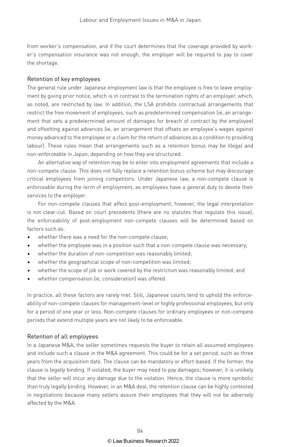from worker's compensation, and if the court determines that the coverage provided by worker's compensation insurance was not enough, the employer will be required to pay to cover the shortage.

#### Retention of key employees

The general rule under Japanese employment law is that the employee is free to leave employment by giving prior notice, which is in contrast to the termination rights of an employer, which, as noted, are restricted by law. In addition, the LSA prohibits contractual arrangements that restrict the free movement of employees, such as predetermined compensation (ie, an arrangement that sets a predetermined amount of damages for breach of contract by the employee) and offsetting against advances (ie, an arrangement that offsets an employee's wages against money advanced to the employee or a claim for the return of advances as a condition to providing labour). These rules mean that arrangements such as a retention bonus may be illegal and non-enforceable in Japan, depending on how they are structured.

An alternative way of retention may be to enter into employment agreements that include a non-compete clause. This does not fully replace a retention bonus scheme but may discourage critical employees from joining competitors. Under Japanese law, a non-compete clause is enforceable during the term of employment, as employees have a general duty to devote their services to the employer.

For non-compete clauses that affect post-employment, however, the legal interpretation is not clear-cut. Based on court precedents (there are no statutes that regulate this issue), the enforceability of post-employment non-compete clauses will be determined based on factors such as:

- whether there was a need for the non-compete clause;
- whether the employee was in a position such that a non-compete clause was necessary;
- whether the duration of non-competition was reasonably limited;
- whether the geographical scope of non-competition was limited;
- whether the scope of job or work covered by the restriction was reasonably limited; and
- whether compensation (ie, consideration) was offered.

In practice, all these factors are rarely met. Still, Japanese courts tend to uphold the enforceability of non-compete clauses for management-level or highly professional employees, but only for a period of one year or less. Non-compete clauses for ordinary employees or non-compete periods that extend multiple years are not likely to be enforceable.

#### Retention of all employees

In a Japanese M&A, the seller sometimes requests the buyer to retain all assumed employees and include such a clause in the M&A agreement. This could be for a set period, such as three years from the acquisition date. The clause can be mandatory or effort-based. If the former, the clause is legally binding. If violated, the buyer may need to pay damages; however, it is unlikely that the seller will incur any damage due to the violation. Hence, the clause is more symbolic than truly legally binding. However, in an M&A deal, the retention clause can be highly contested in negotiations because many sellers assure their employees that they will not be adversely affected by the M&A.